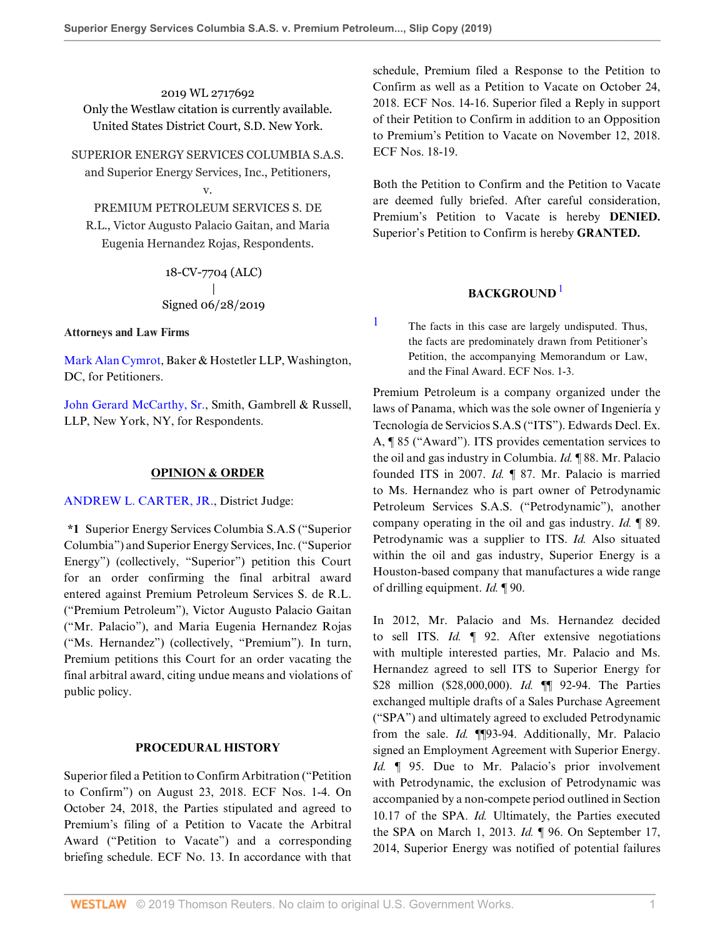2019 WL 2717692 Only the Westlaw citation is currently available. United States District Court, S.D. New York.

SUPERIOR ENERGY SERVICES COLUMBIA S.A.S. and Superior Energy Services, Inc., Petitioners,

# v.

PREMIUM PETROLEUM SERVICES S. DE R.L., Victor Augusto Palacio Gaitan, and Maria Eugenia Hernandez Rojas, Respondents.

> 18-CV-7704 (ALC) | Signed 06/28/2019

**Attorneys and Law Firms**

[Mark Alan Cymrot,](http://www.westlaw.com/Link/Document/FullText?findType=h&pubNum=176284&cite=0247350001&originatingDoc=I154ab1a09bea11e981b9f3f7c11376fd&refType=RQ&originationContext=document&vr=3.0&rs=cblt1.0&transitionType=DocumentItem&contextData=(sc.Keycite)) Baker & Hostetler LLP, Washington, DC, for Petitioners.

[John Gerard McCarthy, Sr.](http://www.westlaw.com/Link/Document/FullText?findType=h&pubNum=176284&cite=0285088501&originatingDoc=I154ab1a09bea11e981b9f3f7c11376fd&refType=RQ&originationContext=document&vr=3.0&rs=cblt1.0&transitionType=DocumentItem&contextData=(sc.Keycite)), Smith, Gambrell & Russell, LLP, New York, NY, for Respondents.

## **OPINION & ORDER**

[ANDREW L. CARTER, JR.](http://www.westlaw.com/Link/Document/FullText?findType=h&pubNum=176284&cite=0145094301&originatingDoc=I154ab1a09bea11e981b9f3f7c11376fd&refType=RQ&originationContext=document&vr=3.0&rs=cblt1.0&transitionType=DocumentItem&contextData=(sc.Keycite)), District Judge:

**\*1** Superior Energy Services Columbia S.A.S ("Superior Columbia") and Superior Energy Services, Inc. ("Superior Energy") (collectively, "Superior") petition this Court for an order confirming the final arbitral award entered against Premium Petroleum Services S. de R.L. ("Premium Petroleum"), Victor Augusto Palacio Gaitan ("Mr. Palacio"), and Maria Eugenia Hernandez Rojas ("Ms. Hernandez") (collectively, "Premium"). In turn, Premium petitions this Court for an order vacating the final arbitral award, citing undue means and violations of public policy.

## **PROCEDURAL HISTORY**

Superior filed a Petition to Confirm Arbitration ("Petition to Confirm") on August 23, 2018. ECF Nos. 1-4. On October 24, 2018, the Parties stipulated and agreed to Premium's filing of a Petition to Vacate the Arbitral Award ("Petition to Vacate") and a corresponding briefing schedule. ECF No. 13. In accordance with that

schedule, Premium filed a Response to the Petition to Confirm as well as a Petition to Vacate on October 24, 2018. ECF Nos. 14-16. Superior filed a Reply in support of their Petition to Confirm in addition to an Opposition to Premium's Petition to Vacate on November 12, 2018. ECF Nos. 18-19.

Both the Petition to Confirm and the Petition to Vacate are deemed fully briefed. After careful consideration, Premium's Petition to Vacate is hereby **DENIED.** Superior's Petition to Confirm is hereby **GRANTED.**

# <span id="page-0-1"></span>**BACKGROUND** [1](#page-0-0)

<span id="page-0-0"></span>[1](#page-0-1) The facts in this case are largely undisputed. Thus, the facts are predominately drawn from Petitioner's Petition, the accompanying Memorandum or Law, and the Final Award. ECF Nos. 1-3.

Premium Petroleum is a company organized under the laws of Panama, which was the sole owner of Ingeniería y Tecnología de Servicios S.A.S ("ITS"). Edwards Decl. Ex. A, ¶ 85 ("Award"). ITS provides cementation services to the oil and gas industry in Columbia. *Id.* ¶ 88. Mr. Palacio founded ITS in 2007. *Id.* ¶ 87. Mr. Palacio is married to Ms. Hernandez who is part owner of Petrodynamic Petroleum Services S.A.S. ("Petrodynamic"), another company operating in the oil and gas industry. *Id.* ¶ 89. Petrodynamic was a supplier to ITS. *Id.* Also situated within the oil and gas industry, Superior Energy is a Houston-based company that manufactures a wide range of drilling equipment. *Id.* ¶ 90.

In 2012, Mr. Palacio and Ms. Hernandez decided to sell ITS. *Id.* ¶ 92. After extensive negotiations with multiple interested parties, Mr. Palacio and Ms. Hernandez agreed to sell ITS to Superior Energy for \$28 million (\$28,000,000). *Id.* ¶¶ 92-94. The Parties exchanged multiple drafts of a Sales Purchase Agreement ("SPA") and ultimately agreed to excluded Petrodynamic from the sale. *Id.* ¶¶93-94. Additionally, Mr. Palacio signed an Employment Agreement with Superior Energy. *Id.* ¶ 95. Due to Mr. Palacio's prior involvement with Petrodynamic, the exclusion of Petrodynamic was accompanied by a non-compete period outlined in Section 10.17 of the SPA. *Id.* Ultimately, the Parties executed the SPA on March 1, 2013. *Id.* ¶ 96. On September 17, 2014, Superior Energy was notified of potential failures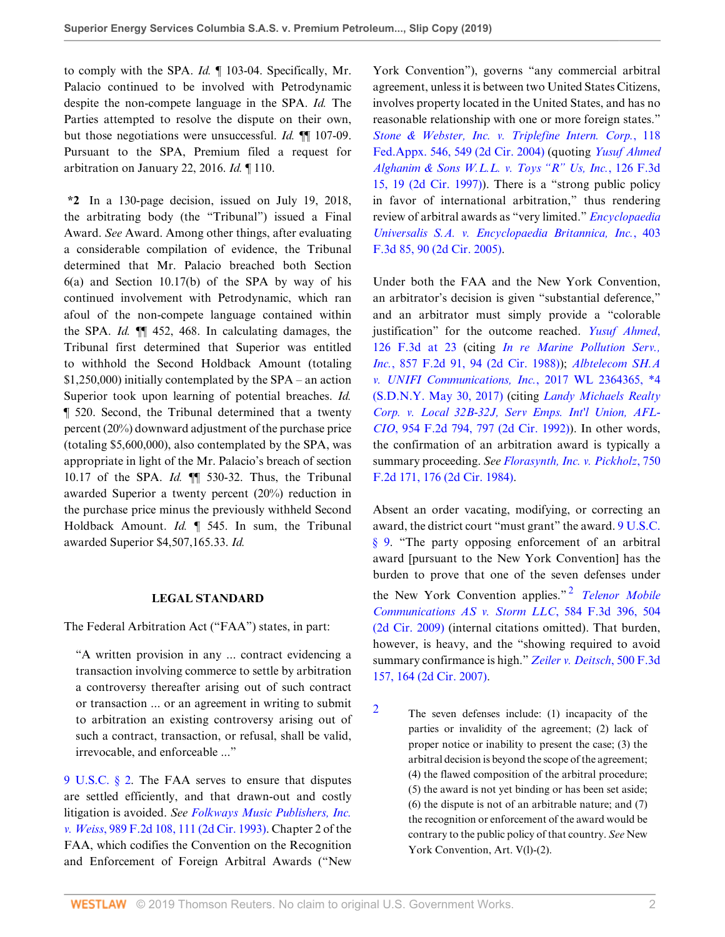to comply with the SPA. *Id.* ¶ 103-04. Specifically, Mr. Palacio continued to be involved with Petrodynamic despite the non-compete language in the SPA. *Id.* The Parties attempted to resolve the dispute on their own, but those negotiations were unsuccessful. *Id.* ¶¶ 107-09. Pursuant to the SPA, Premium filed a request for arbitration on January 22, 2016. *Id.* ¶ 110.

**\*2** In a 130-page decision, issued on July 19, 2018, the arbitrating body (the "Tribunal") issued a Final Award. *See* Award. Among other things, after evaluating a considerable compilation of evidence, the Tribunal determined that Mr. Palacio breached both Section 6(a) and Section 10.17(b) of the SPA by way of his continued involvement with Petrodynamic, which ran afoul of the non-compete language contained within the SPA. *Id.* ¶¶ 452, 468. In calculating damages, the Tribunal first determined that Superior was entitled to withhold the Second Holdback Amount (totaling \$1,250,000) initially contemplated by the SPA – an action Superior took upon learning of potential breaches. *Id.* ¶ 520. Second, the Tribunal determined that a twenty percent (20%) downward adjustment of the purchase price (totaling \$5,600,000), also contemplated by the SPA, was appropriate in light of the Mr. Palacio's breach of section 10.17 of the SPA. *Id.* ¶¶ 530-32. Thus, the Tribunal awarded Superior a twenty percent (20%) reduction in the purchase price minus the previously withheld Second Holdback Amount. *Id.* ¶ 545. In sum, the Tribunal awarded Superior \$4,507,165.33. *Id.*

## **LEGAL STANDARD**

The Federal Arbitration Act ("FAA") states, in part:

"A written provision in any ... contract evidencing a transaction involving commerce to settle by arbitration a controversy thereafter arising out of such contract or transaction ... or an agreement in writing to submit to arbitration an existing controversy arising out of such a contract, transaction, or refusal, shall be valid, irrevocable, and enforceable ..."

[9 U.S.C. § 2](http://www.westlaw.com/Link/Document/FullText?findType=L&pubNum=1000546&cite=9USCAS2&originatingDoc=I154ab1a09bea11e981b9f3f7c11376fd&refType=LQ&originationContext=document&vr=3.0&rs=cblt1.0&transitionType=DocumentItem&contextData=(sc.Keycite)). The FAA serves to ensure that disputes are settled efficiently, and that drawn-out and costly litigation is avoided. *See [Folkways Music Publishers, Inc.](http://www.westlaw.com/Link/Document/FullText?findType=Y&serNum=1993075540&pubNum=0000350&originatingDoc=I154ab1a09bea11e981b9f3f7c11376fd&refType=RP&fi=co_pp_sp_350_111&originationContext=document&vr=3.0&rs=cblt1.0&transitionType=DocumentItem&contextData=(sc.Keycite)#co_pp_sp_350_111) v. Weiss*[, 989 F.2d 108, 111 \(2d Cir. 1993\).](http://www.westlaw.com/Link/Document/FullText?findType=Y&serNum=1993075540&pubNum=0000350&originatingDoc=I154ab1a09bea11e981b9f3f7c11376fd&refType=RP&fi=co_pp_sp_350_111&originationContext=document&vr=3.0&rs=cblt1.0&transitionType=DocumentItem&contextData=(sc.Keycite)#co_pp_sp_350_111) Chapter 2 of the FAA, which codifies the Convention on the Recognition and Enforcement of Foreign Arbitral Awards ("New York Convention"), governs "any commercial arbitral agreement, unless it is between two United States Citizens, involves property located in the United States, and has no reasonable relationship with one or more foreign states." *[Stone & Webster, Inc. v. Triplefine Intern. Corp.](http://www.westlaw.com/Link/Document/FullText?findType=Y&serNum=2005810189&pubNum=0006538&originatingDoc=I154ab1a09bea11e981b9f3f7c11376fd&refType=RP&fi=co_pp_sp_6538_549&originationContext=document&vr=3.0&rs=cblt1.0&transitionType=DocumentItem&contextData=(sc.Keycite)#co_pp_sp_6538_549)*, 118 [Fed.Appx. 546, 549 \(2d Cir. 2004\)](http://www.westlaw.com/Link/Document/FullText?findType=Y&serNum=2005810189&pubNum=0006538&originatingDoc=I154ab1a09bea11e981b9f3f7c11376fd&refType=RP&fi=co_pp_sp_6538_549&originationContext=document&vr=3.0&rs=cblt1.0&transitionType=DocumentItem&contextData=(sc.Keycite)#co_pp_sp_6538_549) (quoting *[Yusuf Ahmed](http://www.westlaw.com/Link/Document/FullText?findType=Y&serNum=1997186107&pubNum=0000506&originatingDoc=I154ab1a09bea11e981b9f3f7c11376fd&refType=RP&fi=co_pp_sp_506_19&originationContext=document&vr=3.0&rs=cblt1.0&transitionType=DocumentItem&contextData=(sc.Keycite)#co_pp_sp_506_19) [Alghanim & Sons W.L.L. v. Toys "R" Us, Inc.](http://www.westlaw.com/Link/Document/FullText?findType=Y&serNum=1997186107&pubNum=0000506&originatingDoc=I154ab1a09bea11e981b9f3f7c11376fd&refType=RP&fi=co_pp_sp_506_19&originationContext=document&vr=3.0&rs=cblt1.0&transitionType=DocumentItem&contextData=(sc.Keycite)#co_pp_sp_506_19)*, 126 F.3d [15, 19 \(2d Cir. 1997\)](http://www.westlaw.com/Link/Document/FullText?findType=Y&serNum=1997186107&pubNum=0000506&originatingDoc=I154ab1a09bea11e981b9f3f7c11376fd&refType=RP&fi=co_pp_sp_506_19&originationContext=document&vr=3.0&rs=cblt1.0&transitionType=DocumentItem&contextData=(sc.Keycite)#co_pp_sp_506_19)). There is a "strong public policy in favor of international arbitration," thus rendering review of arbitral awards as "very limited." *[Encyclopaedia](http://www.westlaw.com/Link/Document/FullText?findType=Y&serNum=2006404015&pubNum=0000506&originatingDoc=I154ab1a09bea11e981b9f3f7c11376fd&refType=RP&fi=co_pp_sp_506_90&originationContext=document&vr=3.0&rs=cblt1.0&transitionType=DocumentItem&contextData=(sc.Keycite)#co_pp_sp_506_90) [Universalis S.A. v. Encyclopaedia Britannica, Inc.](http://www.westlaw.com/Link/Document/FullText?findType=Y&serNum=2006404015&pubNum=0000506&originatingDoc=I154ab1a09bea11e981b9f3f7c11376fd&refType=RP&fi=co_pp_sp_506_90&originationContext=document&vr=3.0&rs=cblt1.0&transitionType=DocumentItem&contextData=(sc.Keycite)#co_pp_sp_506_90)*, 403 [F.3d 85, 90 \(2d Cir. 2005\).](http://www.westlaw.com/Link/Document/FullText?findType=Y&serNum=2006404015&pubNum=0000506&originatingDoc=I154ab1a09bea11e981b9f3f7c11376fd&refType=RP&fi=co_pp_sp_506_90&originationContext=document&vr=3.0&rs=cblt1.0&transitionType=DocumentItem&contextData=(sc.Keycite)#co_pp_sp_506_90)

Under both the FAA and the New York Convention, an arbitrator's decision is given "substantial deference," and an arbitrator must simply provide a "colorable justification" for the outcome reached. *[Yusuf Ahmed](http://www.westlaw.com/Link/Document/FullText?findType=Y&serNum=1997186107&pubNum=0000506&originatingDoc=I154ab1a09bea11e981b9f3f7c11376fd&refType=RP&fi=co_pp_sp_506_23&originationContext=document&vr=3.0&rs=cblt1.0&transitionType=DocumentItem&contextData=(sc.Keycite)#co_pp_sp_506_23)*, [126 F.3d at 23](http://www.westlaw.com/Link/Document/FullText?findType=Y&serNum=1997186107&pubNum=0000506&originatingDoc=I154ab1a09bea11e981b9f3f7c11376fd&refType=RP&fi=co_pp_sp_506_23&originationContext=document&vr=3.0&rs=cblt1.0&transitionType=DocumentItem&contextData=(sc.Keycite)#co_pp_sp_506_23) (citing *[In re Marine Pollution Serv.,](http://www.westlaw.com/Link/Document/FullText?findType=Y&serNum=1988121939&pubNum=0000350&originatingDoc=I154ab1a09bea11e981b9f3f7c11376fd&refType=RP&fi=co_pp_sp_350_94&originationContext=document&vr=3.0&rs=cblt1.0&transitionType=DocumentItem&contextData=(sc.Keycite)#co_pp_sp_350_94) Inc.*[, 857 F.2d 91, 94 \(2d Cir. 1988\)\)](http://www.westlaw.com/Link/Document/FullText?findType=Y&serNum=1988121939&pubNum=0000350&originatingDoc=I154ab1a09bea11e981b9f3f7c11376fd&refType=RP&fi=co_pp_sp_350_94&originationContext=document&vr=3.0&rs=cblt1.0&transitionType=DocumentItem&contextData=(sc.Keycite)#co_pp_sp_350_94); *[Albtelecom SH.A](http://www.westlaw.com/Link/Document/FullText?findType=Y&serNum=2041775816&pubNum=0000999&originatingDoc=I154ab1a09bea11e981b9f3f7c11376fd&refType=RP&originationContext=document&vr=3.0&rs=cblt1.0&transitionType=DocumentItem&contextData=(sc.Keycite)) [v. UNIFI Communications, Inc.](http://www.westlaw.com/Link/Document/FullText?findType=Y&serNum=2041775816&pubNum=0000999&originatingDoc=I154ab1a09bea11e981b9f3f7c11376fd&refType=RP&originationContext=document&vr=3.0&rs=cblt1.0&transitionType=DocumentItem&contextData=(sc.Keycite))*, 2017 WL 2364365, \*4 [\(S.D.N.Y. May 30, 2017\)](http://www.westlaw.com/Link/Document/FullText?findType=Y&serNum=2041775816&pubNum=0000999&originatingDoc=I154ab1a09bea11e981b9f3f7c11376fd&refType=RP&originationContext=document&vr=3.0&rs=cblt1.0&transitionType=DocumentItem&contextData=(sc.Keycite)) (citing *[Landy Michaels Realty](http://www.westlaw.com/Link/Document/FullText?findType=Y&serNum=1992028665&pubNum=0000350&originatingDoc=I154ab1a09bea11e981b9f3f7c11376fd&refType=RP&fi=co_pp_sp_350_797&originationContext=document&vr=3.0&rs=cblt1.0&transitionType=DocumentItem&contextData=(sc.Keycite)#co_pp_sp_350_797) [Corp. v. Local 32B-32J, Serv Emps. Int'l Union, AFL-](http://www.westlaw.com/Link/Document/FullText?findType=Y&serNum=1992028665&pubNum=0000350&originatingDoc=I154ab1a09bea11e981b9f3f7c11376fd&refType=RP&fi=co_pp_sp_350_797&originationContext=document&vr=3.0&rs=cblt1.0&transitionType=DocumentItem&contextData=(sc.Keycite)#co_pp_sp_350_797)CIO*[, 954 F.2d 794, 797 \(2d Cir. 1992\)](http://www.westlaw.com/Link/Document/FullText?findType=Y&serNum=1992028665&pubNum=0000350&originatingDoc=I154ab1a09bea11e981b9f3f7c11376fd&refType=RP&fi=co_pp_sp_350_797&originationContext=document&vr=3.0&rs=cblt1.0&transitionType=DocumentItem&contextData=(sc.Keycite)#co_pp_sp_350_797)). In other words, the confirmation of an arbitration award is typically a summary proceeding. *See [Florasynth, Inc. v. Pickholz](http://www.westlaw.com/Link/Document/FullText?findType=Y&serNum=1984160245&pubNum=0000350&originatingDoc=I154ab1a09bea11e981b9f3f7c11376fd&refType=RP&fi=co_pp_sp_350_176&originationContext=document&vr=3.0&rs=cblt1.0&transitionType=DocumentItem&contextData=(sc.Keycite)#co_pp_sp_350_176)*, 750 [F.2d 171, 176 \(2d Cir. 1984\).](http://www.westlaw.com/Link/Document/FullText?findType=Y&serNum=1984160245&pubNum=0000350&originatingDoc=I154ab1a09bea11e981b9f3f7c11376fd&refType=RP&fi=co_pp_sp_350_176&originationContext=document&vr=3.0&rs=cblt1.0&transitionType=DocumentItem&contextData=(sc.Keycite)#co_pp_sp_350_176)

<span id="page-1-1"></span>Absent an order vacating, modifying, or correcting an award, the district court "must grant" the award. [9 U.S.C.](http://www.westlaw.com/Link/Document/FullText?findType=L&pubNum=1000546&cite=9USCAS9&originatingDoc=I154ab1a09bea11e981b9f3f7c11376fd&refType=LQ&originationContext=document&vr=3.0&rs=cblt1.0&transitionType=DocumentItem&contextData=(sc.Keycite)) [§ 9](http://www.westlaw.com/Link/Document/FullText?findType=L&pubNum=1000546&cite=9USCAS9&originatingDoc=I154ab1a09bea11e981b9f3f7c11376fd&refType=LQ&originationContext=document&vr=3.0&rs=cblt1.0&transitionType=DocumentItem&contextData=(sc.Keycite)). "The party opposing enforcement of an arbitral award [pursuant to the New York Convention] has the burden to prove that one of the seven defenses under the New York Convention applies." [2](#page-1-0) *[Telenor Mobile](http://www.westlaw.com/Link/Document/FullText?findType=Y&serNum=2019980115&pubNum=0000506&originatingDoc=I154ab1a09bea11e981b9f3f7c11376fd&refType=RP&fi=co_pp_sp_506_504&originationContext=document&vr=3.0&rs=cblt1.0&transitionType=DocumentItem&contextData=(sc.Keycite)#co_pp_sp_506_504) [Communications AS v. Storm LLC](http://www.westlaw.com/Link/Document/FullText?findType=Y&serNum=2019980115&pubNum=0000506&originatingDoc=I154ab1a09bea11e981b9f3f7c11376fd&refType=RP&fi=co_pp_sp_506_504&originationContext=document&vr=3.0&rs=cblt1.0&transitionType=DocumentItem&contextData=(sc.Keycite)#co_pp_sp_506_504)*, 584 F.3d 396, 504 [\(2d Cir. 2009\)](http://www.westlaw.com/Link/Document/FullText?findType=Y&serNum=2019980115&pubNum=0000506&originatingDoc=I154ab1a09bea11e981b9f3f7c11376fd&refType=RP&fi=co_pp_sp_506_504&originationContext=document&vr=3.0&rs=cblt1.0&transitionType=DocumentItem&contextData=(sc.Keycite)#co_pp_sp_506_504) (internal citations omitted). That burden, however, is heavy, and the "showing required to avoid summary confirmance is high." *[Zeiler v. Deitsch](http://www.westlaw.com/Link/Document/FullText?findType=Y&serNum=2013082729&pubNum=0000506&originatingDoc=I154ab1a09bea11e981b9f3f7c11376fd&refType=RP&fi=co_pp_sp_506_164&originationContext=document&vr=3.0&rs=cblt1.0&transitionType=DocumentItem&contextData=(sc.Keycite)#co_pp_sp_506_164)*, 500 F.3d [157, 164 \(2d Cir. 2007\)](http://www.westlaw.com/Link/Document/FullText?findType=Y&serNum=2013082729&pubNum=0000506&originatingDoc=I154ab1a09bea11e981b9f3f7c11376fd&refType=RP&fi=co_pp_sp_506_164&originationContext=document&vr=3.0&rs=cblt1.0&transitionType=DocumentItem&contextData=(sc.Keycite)#co_pp_sp_506_164).

<span id="page-1-0"></span>[2](#page-1-1) The seven defenses include: (1) incapacity of the parties or invalidity of the agreement; (2) lack of proper notice or inability to present the case; (3) the arbitral decision is beyond the scope of the agreement; (4) the flawed composition of the arbitral procedure; (5) the award is not yet binding or has been set aside; (6) the dispute is not of an arbitrable nature; and (7) the recognition or enforcement of the award would be contrary to the public policy of that country. *See* New York Convention, Art. V(l)-(2).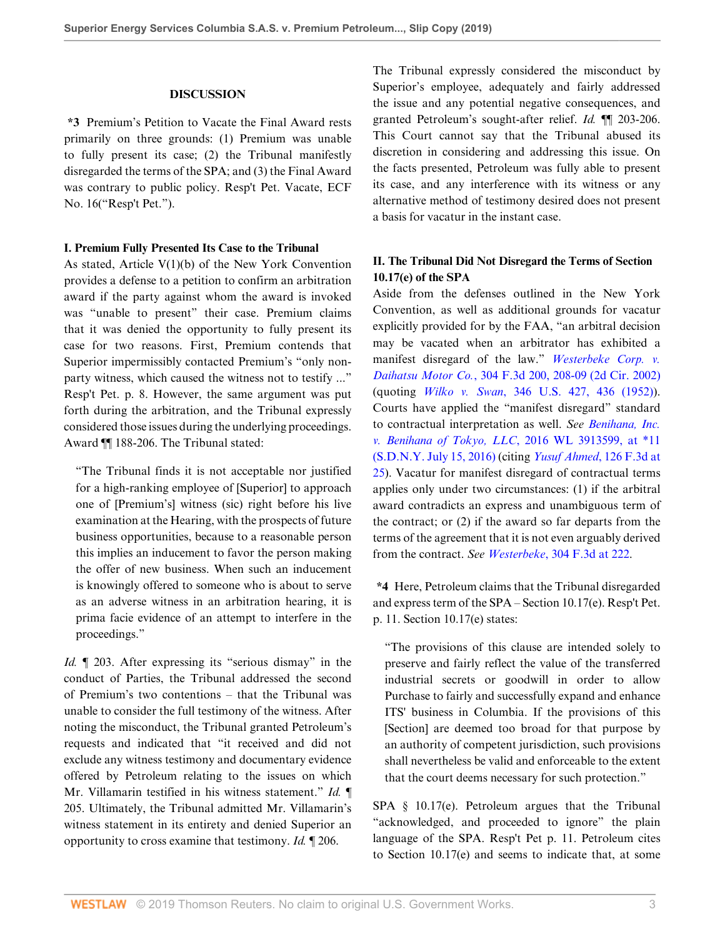## **DISCUSSION**

**\*3** Premium's Petition to Vacate the Final Award rests primarily on three grounds: (1) Premium was unable to fully present its case; (2) the Tribunal manifestly disregarded the terms of the SPA; and (3) the Final Award was contrary to public policy. Resp't Pet. Vacate, ECF No. 16("Resp't Pet.").

#### **I. Premium Fully Presented Its Case to the Tribunal**

As stated, Article  $V(1)(b)$  of the New York Convention provides a defense to a petition to confirm an arbitration award if the party against whom the award is invoked was "unable to present" their case. Premium claims that it was denied the opportunity to fully present its case for two reasons. First, Premium contends that Superior impermissibly contacted Premium's "only nonparty witness, which caused the witness not to testify ..." Resp't Pet. p. 8. However, the same argument was put forth during the arbitration, and the Tribunal expressly considered those issues during the underlying proceedings. Award ¶¶ 188-206. The Tribunal stated:

"The Tribunal finds it is not acceptable nor justified for a high-ranking employee of [Superior] to approach one of [Premium's] witness (sic) right before his live examination at the Hearing, with the prospects of future business opportunities, because to a reasonable person this implies an inducement to favor the person making the offer of new business. When such an inducement is knowingly offered to someone who is about to serve as an adverse witness in an arbitration hearing, it is prima facie evidence of an attempt to interfere in the proceedings."

*Id.*  $\llbracket$  203. After expressing its "serious dismay" in the conduct of Parties, the Tribunal addressed the second of Premium's two contentions – that the Tribunal was unable to consider the full testimony of the witness. After noting the misconduct, the Tribunal granted Petroleum's requests and indicated that "it received and did not exclude any witness testimony and documentary evidence offered by Petroleum relating to the issues on which Mr. Villamarin testified in his witness statement." *Id.* ¶ 205. Ultimately, the Tribunal admitted Mr. Villamarin's witness statement in its entirety and denied Superior an opportunity to cross examine that testimony. *Id.* ¶ 206.

The Tribunal expressly considered the misconduct by Superior's employee, adequately and fairly addressed the issue and any potential negative consequences, and granted Petroleum's sought-after relief. *Id.* ¶¶ 203-206. This Court cannot say that the Tribunal abused its discretion in considering and addressing this issue. On the facts presented, Petroleum was fully able to present its case, and any interference with its witness or any alternative method of testimony desired does not present a basis for vacatur in the instant case.

# **II. The Tribunal Did Not Disregard the Terms of Section 10.17(e) of the SPA**

Aside from the defenses outlined in the New York Convention, as well as additional grounds for vacatur explicitly provided for by the FAA, "an arbitral decision may be vacated when an arbitrator has exhibited a manifest disregard of the law." *[Westerbeke Corp. v.](http://www.westlaw.com/Link/Document/FullText?findType=Y&serNum=2002550287&pubNum=0000506&originatingDoc=I154ab1a09bea11e981b9f3f7c11376fd&refType=RP&fi=co_pp_sp_506_208&originationContext=document&vr=3.0&rs=cblt1.0&transitionType=DocumentItem&contextData=(sc.Keycite)#co_pp_sp_506_208) Daihatsu Motor Co.*[, 304 F.3d 200, 208-09 \(2d Cir. 2002\)](http://www.westlaw.com/Link/Document/FullText?findType=Y&serNum=2002550287&pubNum=0000506&originatingDoc=I154ab1a09bea11e981b9f3f7c11376fd&refType=RP&fi=co_pp_sp_506_208&originationContext=document&vr=3.0&rs=cblt1.0&transitionType=DocumentItem&contextData=(sc.Keycite)#co_pp_sp_506_208) (quoting *Wilko v. Swan*[, 346 U.S. 427, 436 \(1952\)\)](http://www.westlaw.com/Link/Document/FullText?findType=Y&serNum=1953121062&pubNum=0000780&originatingDoc=I154ab1a09bea11e981b9f3f7c11376fd&refType=RP&fi=co_pp_sp_780_436&originationContext=document&vr=3.0&rs=cblt1.0&transitionType=DocumentItem&contextData=(sc.Keycite)#co_pp_sp_780_436). Courts have applied the "manifest disregard" standard to contractual interpretation as well. *See [Benihana, Inc.](http://www.westlaw.com/Link/Document/FullText?findType=Y&serNum=2039400500&pubNum=0000999&originatingDoc=I154ab1a09bea11e981b9f3f7c11376fd&refType=RP&originationContext=document&vr=3.0&rs=cblt1.0&transitionType=DocumentItem&contextData=(sc.Keycite)) [v. Benihana of Tokyo, LLC](http://www.westlaw.com/Link/Document/FullText?findType=Y&serNum=2039400500&pubNum=0000999&originatingDoc=I154ab1a09bea11e981b9f3f7c11376fd&refType=RP&originationContext=document&vr=3.0&rs=cblt1.0&transitionType=DocumentItem&contextData=(sc.Keycite))*, 2016 WL 3913599, at \*11 [\(S.D.N.Y. July 15, 2016\)](http://www.westlaw.com/Link/Document/FullText?findType=Y&serNum=2039400500&pubNum=0000999&originatingDoc=I154ab1a09bea11e981b9f3f7c11376fd&refType=RP&originationContext=document&vr=3.0&rs=cblt1.0&transitionType=DocumentItem&contextData=(sc.Keycite)) (citing *[Yusuf Ahmed](http://www.westlaw.com/Link/Document/FullText?findType=Y&serNum=1997186107&pubNum=0000506&originatingDoc=I154ab1a09bea11e981b9f3f7c11376fd&refType=RP&fi=co_pp_sp_506_25&originationContext=document&vr=3.0&rs=cblt1.0&transitionType=DocumentItem&contextData=(sc.Keycite)#co_pp_sp_506_25)*, 126 F.3d at [25](http://www.westlaw.com/Link/Document/FullText?findType=Y&serNum=1997186107&pubNum=0000506&originatingDoc=I154ab1a09bea11e981b9f3f7c11376fd&refType=RP&fi=co_pp_sp_506_25&originationContext=document&vr=3.0&rs=cblt1.0&transitionType=DocumentItem&contextData=(sc.Keycite)#co_pp_sp_506_25)). Vacatur for manifest disregard of contractual terms applies only under two circumstances: (1) if the arbitral award contradicts an express and unambiguous term of the contract; or (2) if the award so far departs from the terms of the agreement that it is not even arguably derived from the contract. *See Westerbeke*[, 304 F.3d at 222.](http://www.westlaw.com/Link/Document/FullText?findType=Y&serNum=2002550287&pubNum=0000506&originatingDoc=I154ab1a09bea11e981b9f3f7c11376fd&refType=RP&fi=co_pp_sp_506_222&originationContext=document&vr=3.0&rs=cblt1.0&transitionType=DocumentItem&contextData=(sc.Keycite)#co_pp_sp_506_222)

**\*4** Here, Petroleum claims that the Tribunal disregarded and express term of the SPA – Section 10.17(e). Resp't Pet. p. 11. Section 10.17(e) states:

"The provisions of this clause are intended solely to preserve and fairly reflect the value of the transferred industrial secrets or goodwill in order to allow Purchase to fairly and successfully expand and enhance ITS' business in Columbia. If the provisions of this [Section] are deemed too broad for that purpose by an authority of competent jurisdiction, such provisions shall nevertheless be valid and enforceable to the extent that the court deems necessary for such protection."

SPA § 10.17(e). Petroleum argues that the Tribunal "acknowledged, and proceeded to ignore" the plain language of the SPA. Resp't Pet p. 11. Petroleum cites to Section 10.17(e) and seems to indicate that, at some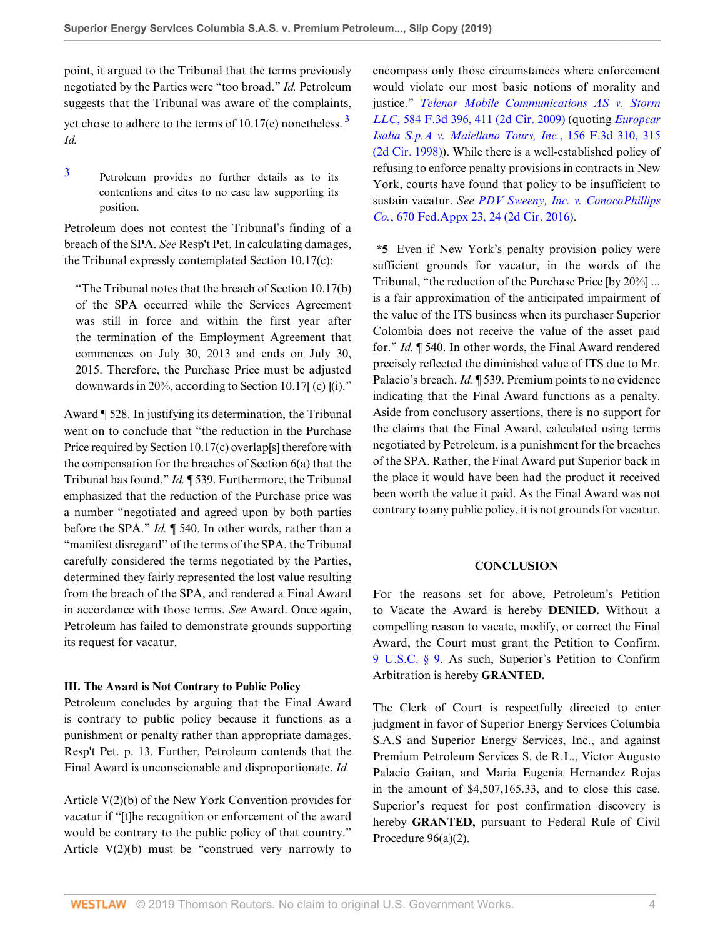point, it argued to the Tribunal that the terms previously negotiated by the Parties were "too broad." *Id.* Petroleum suggests that the Tribunal was aware of the complaints, yet chose to adhere to the terms of  $10.17(e)$  nonetheless.  $3$ *Id.*

<span id="page-3-0"></span>[3](#page-3-1) Petroleum provides no further details as to its contentions and cites to no case law supporting its position.

Petroleum does not contest the Tribunal's finding of a breach of the SPA. *See* Resp't Pet. In calculating damages, the Tribunal expressly contemplated Section 10.17(c):

"The Tribunal notes that the breach of Section 10.17(b) of the SPA occurred while the Services Agreement was still in force and within the first year after the termination of the Employment Agreement that commences on July 30, 2013 and ends on July 30, 2015. Therefore, the Purchase Price must be adjusted downwards in 20%, according to Section 10.17[ (c) ](i)."

Award ¶ 528. In justifying its determination, the Tribunal went on to conclude that "the reduction in the Purchase Price required by Section 10.17(c) overlap[s] therefore with the compensation for the breaches of Section 6(a) that the Tribunal has found." *Id.* ¶ 539. Furthermore, the Tribunal emphasized that the reduction of the Purchase price was a number "negotiated and agreed upon by both parties before the SPA." *Id.* ¶ 540. In other words, rather than a "manifest disregard" of the terms of the SPA, the Tribunal carefully considered the terms negotiated by the Parties, determined they fairly represented the lost value resulting from the breach of the SPA, and rendered a Final Award in accordance with those terms. *See* Award. Once again, Petroleum has failed to demonstrate grounds supporting its request for vacatur.

## **III. The Award is Not Contrary to Public Policy**

Petroleum concludes by arguing that the Final Award is contrary to public policy because it functions as a punishment or penalty rather than appropriate damages. Resp't Pet. p. 13. Further, Petroleum contends that the Final Award is unconscionable and disproportionate. *Id.*

Article V(2)(b) of the New York Convention provides for vacatur if "[t]he recognition or enforcement of the award would be contrary to the public policy of that country." Article  $V(2)(b)$  must be "construed very narrowly to <span id="page-3-1"></span>encompass only those circumstances where enforcement would violate our most basic notions of morality and justice." *[Telenor Mobile Communications AS v. Storm](http://www.westlaw.com/Link/Document/FullText?findType=Y&serNum=2019980115&pubNum=0000506&originatingDoc=I154ab1a09bea11e981b9f3f7c11376fd&refType=RP&fi=co_pp_sp_506_411&originationContext=document&vr=3.0&rs=cblt1.0&transitionType=DocumentItem&contextData=(sc.Keycite)#co_pp_sp_506_411) LLC*[, 584 F.3d 396, 411 \(2d Cir. 2009\)](http://www.westlaw.com/Link/Document/FullText?findType=Y&serNum=2019980115&pubNum=0000506&originatingDoc=I154ab1a09bea11e981b9f3f7c11376fd&refType=RP&fi=co_pp_sp_506_411&originationContext=document&vr=3.0&rs=cblt1.0&transitionType=DocumentItem&contextData=(sc.Keycite)#co_pp_sp_506_411) (quoting *[Europcar](http://www.westlaw.com/Link/Document/FullText?findType=Y&serNum=1998200722&pubNum=0000506&originatingDoc=I154ab1a09bea11e981b9f3f7c11376fd&refType=RP&fi=co_pp_sp_506_315&originationContext=document&vr=3.0&rs=cblt1.0&transitionType=DocumentItem&contextData=(sc.Keycite)#co_pp_sp_506_315) [Isalia S.p.A v. Maiellano Tours, Inc.](http://www.westlaw.com/Link/Document/FullText?findType=Y&serNum=1998200722&pubNum=0000506&originatingDoc=I154ab1a09bea11e981b9f3f7c11376fd&refType=RP&fi=co_pp_sp_506_315&originationContext=document&vr=3.0&rs=cblt1.0&transitionType=DocumentItem&contextData=(sc.Keycite)#co_pp_sp_506_315)*, 156 F.3d 310, 315 [\(2d Cir. 1998\)\)](http://www.westlaw.com/Link/Document/FullText?findType=Y&serNum=1998200722&pubNum=0000506&originatingDoc=I154ab1a09bea11e981b9f3f7c11376fd&refType=RP&fi=co_pp_sp_506_315&originationContext=document&vr=3.0&rs=cblt1.0&transitionType=DocumentItem&contextData=(sc.Keycite)#co_pp_sp_506_315). While there is a well-established policy of refusing to enforce penalty provisions in contracts in New York, courts have found that policy to be insufficient to sustain vacatur. *See [PDV Sweeny, Inc. v. ConocoPhillips](http://www.westlaw.com/Link/Document/FullText?findType=Y&serNum=2040257277&pubNum=0006538&originatingDoc=I154ab1a09bea11e981b9f3f7c11376fd&refType=RP&fi=co_pp_sp_6538_24&originationContext=document&vr=3.0&rs=cblt1.0&transitionType=DocumentItem&contextData=(sc.Keycite)#co_pp_sp_6538_24) Co.*[, 670 Fed.Appx 23, 24 \(2d Cir. 2016\)](http://www.westlaw.com/Link/Document/FullText?findType=Y&serNum=2040257277&pubNum=0006538&originatingDoc=I154ab1a09bea11e981b9f3f7c11376fd&refType=RP&fi=co_pp_sp_6538_24&originationContext=document&vr=3.0&rs=cblt1.0&transitionType=DocumentItem&contextData=(sc.Keycite)#co_pp_sp_6538_24).

**\*5** Even if New York's penalty provision policy were sufficient grounds for vacatur, in the words of the Tribunal, "the reduction of the Purchase Price [by 20%] ... is a fair approximation of the anticipated impairment of the value of the ITS business when its purchaser Superior Colombia does not receive the value of the asset paid for." *Id.* ¶ 540. In other words, the Final Award rendered precisely reflected the diminished value of ITS due to Mr. Palacio's breach. *Id.* ¶ 539. Premium points to no evidence indicating that the Final Award functions as a penalty. Aside from conclusory assertions, there is no support for the claims that the Final Award, calculated using terms negotiated by Petroleum, is a punishment for the breaches of the SPA. Rather, the Final Award put Superior back in the place it would have been had the product it received been worth the value it paid. As the Final Award was not contrary to any public policy, it is not grounds for vacatur.

#### **CONCLUSION**

For the reasons set for above, Petroleum's Petition to Vacate the Award is hereby **DENIED.** Without a compelling reason to vacate, modify, or correct the Final Award, the Court must grant the Petition to Confirm. [9 U.S.C. § 9.](http://www.westlaw.com/Link/Document/FullText?findType=L&pubNum=1000546&cite=9USCAS9&originatingDoc=I154ab1a09bea11e981b9f3f7c11376fd&refType=LQ&originationContext=document&vr=3.0&rs=cblt1.0&transitionType=DocumentItem&contextData=(sc.Keycite)) As such, Superior's Petition to Confirm Arbitration is hereby **GRANTED.**

The Clerk of Court is respectfully directed to enter judgment in favor of Superior Energy Services Columbia S.A.S and Superior Energy Services, Inc., and against Premium Petroleum Services S. de R.L., Victor Augusto Palacio Gaitan, and Maria Eugenia Hernandez Rojas in the amount of \$4,507,165.33, and to close this case. Superior's request for post confirmation discovery is hereby **GRANTED,** pursuant to Federal Rule of Civil Procedure 96(a)(2).